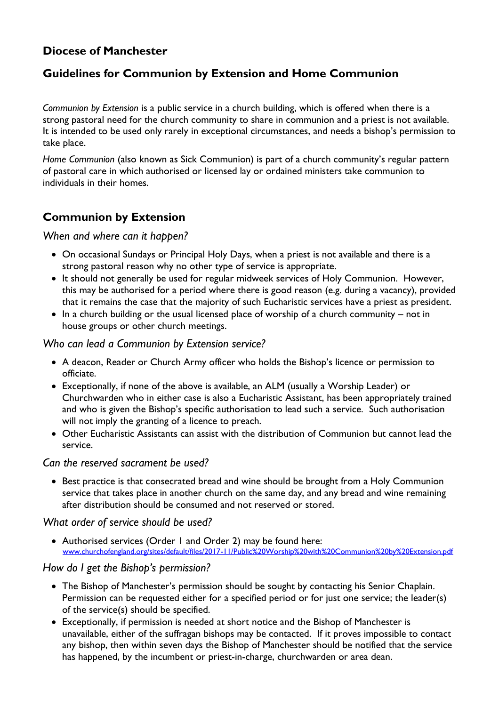# **Diocese of Manchester**

# **Guidelines for Communion by Extension and Home Communion**

*Communion by Extension* is a public service in a church building, which is offered when there is a strong pastoral need for the church community to share in communion and a priest is not available. It is intended to be used only rarely in exceptional circumstances, and needs a bishop's permission to take place.

*Home Communion* (also known as Sick Communion) is part of a church community's regular pattern of pastoral care in which authorised or licensed lay or ordained ministers take communion to individuals in their homes.

# **Communion by Extension**

*When and where can it happen?*

- On occasional Sundays or Principal Holy Days, when a priest is not available and there is a strong pastoral reason why no other type of service is appropriate.
- It should not generally be used for regular midweek services of Holy Communion. However, this may be authorised for a period where there is good reason (e.g. during a vacancy), provided that it remains the case that the majority of such Eucharistic services have a priest as president.
- $\bullet$  In a church building or the usual licensed place of worship of a church community not in house groups or other church meetings.

### *Who can lead a Communion by Extension service?*

- A deacon, Reader or Church Army officer who holds the Bishop's licence or permission to officiate.
- Exceptionally, if none of the above is available, an ALM (usually a Worship Leader) or Churchwarden who in either case is also a Eucharistic Assistant, has been appropriately trained and who is given the Bishop's specific authorisation to lead such a service. Such authorisation will not imply the granting of a licence to preach.
- Other Eucharistic Assistants can assist with the distribution of Communion but cannot lead the service.

#### *Can the reserved sacrament be used?*

• Best practice is that consecrated bread and wine should be brought from a Holy Communion service that takes place in another church on the same day, and any bread and wine remaining after distribution should be consumed and not reserved or stored.

#### *What order of service should be used?*

 Authorised services (Order 1 and Order 2) may be found here: [www.churchofengland.org/sites/default/files/2017-11/Public%20Worship%20with%20Communion%20by%20Extension.pdf](http://www.churchofengland.org/sites/default/files/2017-11/Public%20Worship%20with%20Communion%20by%20Extension.pdf)

#### *How do I get the Bishop's permission?*

- The Bishop of Manchester's permission should be sought by contacting his Senior Chaplain. Permission can be requested either for a specified period or for just one service; the leader(s) of the service(s) should be specified.
- Exceptionally, if permission is needed at short notice and the Bishop of Manchester is unavailable, either of the suffragan bishops may be contacted. If it proves impossible to contact any bishop, then within seven days the Bishop of Manchester should be notified that the service has happened, by the incumbent or priest-in-charge, churchwarden or area dean.